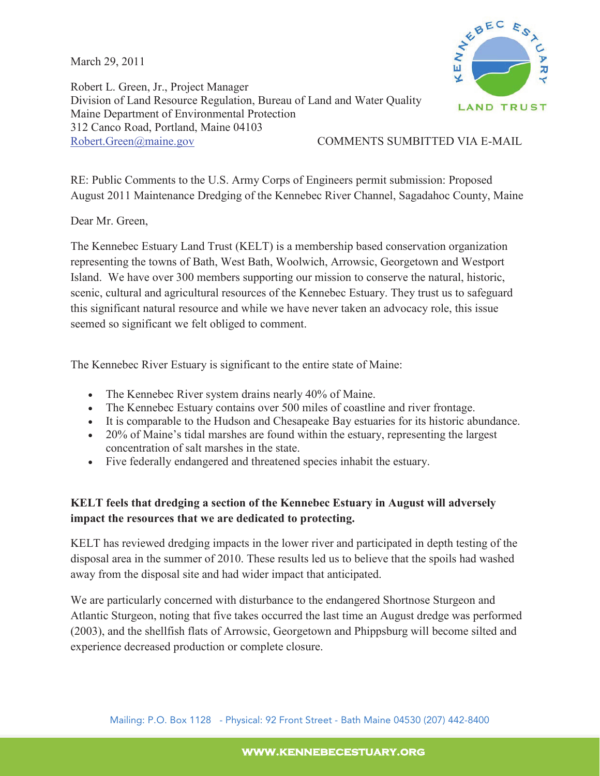March 29, 2011



Robert L. Green, Jr., Project Manager Division of Land Resource Regulation, Bureau of Land and Water Quality Maine Department of Environmental Protection 312 Canco Road, Portland, Maine 04103 Robert.Green@maine.gov COMMENTS SUMBITTED VIA E-MAIL

RE: Public Comments to the U.S. Army Corps of Engineers permit submission: Proposed August 2011 Maintenance Dredging of the Kennebec River Channel, Sagadahoc County, Maine

Dear Mr. Green,

The Kennebec Estuary Land Trust (KELT) is a membership based conservation organization representing the towns of Bath, West Bath, Woolwich, Arrowsic, Georgetown and Westport Island. We have over 300 members supporting our mission to conserve the natural, historic, scenic, cultural and agricultural resources of the Kennebec Estuary. They trust us to safeguard this significant natural resource and while we have never taken an advocacy role, this issue seemed so significant we felt obliged to comment.

The Kennebec River Estuary is significant to the entire state of Maine:

- $\bullet$  The Kennebec River system drains nearly 40% of Maine.
- The Kennebec Estuary contains over 500 miles of coastline and river frontage.
- It is comparable to the Hudson and Chesapeake Bay estuaries for its historic abundance.
- 20% of Maine's tidal marshes are found within the estuary, representing the largest concentration of salt marshes in the state.
- x Five federally endangered and threatened species inhabit the estuary.

## **KELT feels that dredging a section of the Kennebec Estuary in August will adversely impact the resources that we are dedicated to protecting.**

KELT has reviewed dredging impacts in the lower river and participated in depth testing of the disposal area in the summer of 2010. These results led us to believe that the spoils had washed away from the disposal site and had wider impact that anticipated.

We are particularly concerned with disturbance to the endangered Shortnose Sturgeon and Atlantic Sturgeon, noting that five takes occurred the last time an August dredge was performed (2003), and the shellfish flats of Arrowsic, Georgetown and Phippsburg will become silted and experience decreased production or complete closure.